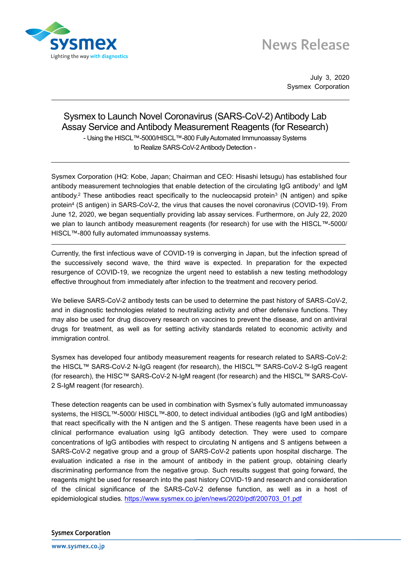

## **News Release**

July 3, 2020 Sysmex Corporation

## Sysmex to Launch Novel Coronavirus (SARS-CoV-2) Antibody Lab Assay Service and Antibody Measurement Reagents (for Research) - Using the HISCL™-5000/HISCL™-800 Fully Automated Immunoassay Systems to Realize SARS-CoV-2 Antibody Detection -

Sysmex Corporation (HQ: Kobe, Japan; Chairman and CEO: Hisashi Ietsugu) has established four antibody measurement technologies that enable detection of the circulating IgG antibody<sup>1</sup> and IgM antibody.<sup>2</sup> These antibodies react specifically to the nucleocapsid protein<sup>3</sup> (N antigen) and spike protein<sup>4</sup> (S antigen) in SARS-CoV-2, the virus that causes the novel coronavirus (COVID-19). From June 12, 2020, we began sequentially providing lab assay services. Furthermore, on July 22, 2020 we plan to launch antibody measurement reagents (for research) for use with the HISCL™-5000/ HISCL™-800 fully automated immunoassay systems.

Currently, the first infectious wave of COVID-19 is converging in Japan, but the infection spread of the successively second wave, the third wave is expected. In preparation for the expected resurgence of COVID-19, we recognize the urgent need to establish a new testing methodology effective throughout from immediately after infection to the treatment and recovery period.

We believe SARS-CoV-2 antibody tests can be used to determine the past history of SARS-CoV-2, and in diagnostic technologies related to neutralizing activity and other defensive functions. They may also be used for drug discovery research on vaccines to prevent the disease, and on antiviral drugs for treatment, as well as for setting activity standards related to economic activity and immigration control.

Sysmex has developed four antibody measurement reagents for research related to SARS-CoV-2: the HISCL™ SARS-CoV-2 N-IgG reagent (for research), the HISCL™ SARS-CoV-2 S-IgG reagent (for research), the HISC™ SARS-CoV-2 N-IgM reagent (for research) and the HISCL™ SARS-CoV-2 S-IgM reagent (for research).

These detection reagents can be used in combination with Sysmex's fully automated immunoassay systems, the HISCL™-5000/ HISCL™-800, to detect individual antibodies (IgG and IgM antibodies) that react specifically with the N antigen and the S antigen. These reagents have been used in a clinical performance evaluation using IgG antibody detection. They were used to compare concentrations of IgG antibodies with respect to circulating N antigens and S antigens between a SARS-CoV-2 negative group and a group of SARS-CoV-2 patients upon hospital discharge. The evaluation indicated a rise in the amount of antibody in the patient group, obtaining clearly discriminating performance from the negative group. Such results suggest that going forward, the reagents might be used for research into the past history COVID-19 and research and consideration of the clinical significance of the SARS-CoV-2 defense function, as well as in a host of epidemiological studies. [https://www.sysmex.co.jp/en/news/2020/pdf/200703\\_01.pdf](https://www.sysmex.co.jp/en/news/2020/pdf/200703_01.pdf)

**Sysmex Corporation**